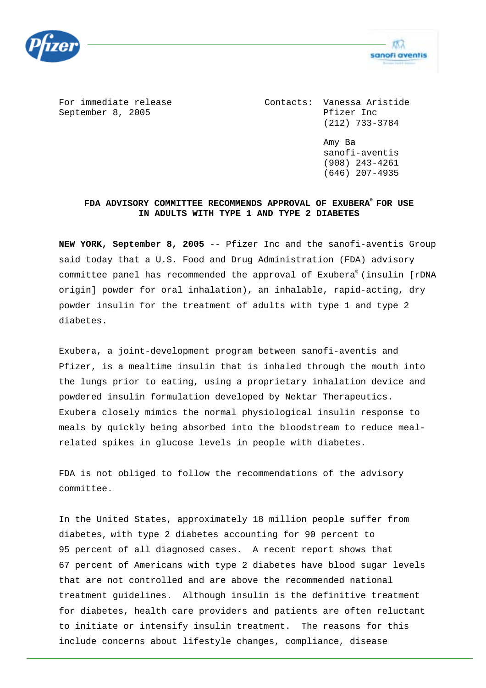



For immediate release The Contacts: Vanessa Aristide September 8, 2005 Pfizer Inc (212) 733-3784

> Amy Ba sanofi-aventis (908) 243-4261 (646) 207-4935

## **FDA ADVISORY COMMITTEE RECOMMENDS APPROVAL OF EXUBERA® FOR USE IN ADULTS WITH TYPE 1 AND TYPE 2 DIABETES**

**NEW YORK, September 8, 2005** -- Pfizer Inc and the sanofi-aventis Group said today that a U.S. Food and Drug Administration (FDA) advisory committee panel has recommended the approval of Exubera**®** (insulin [rDNA origin] powder for oral inhalation), an inhalable, rapid-acting, dry powder insulin for the treatment of adults with type 1 and type 2 diabetes.

Exubera, a joint-development program between sanofi-aventis and Pfizer, is a mealtime insulin that is inhaled through the mouth into the lungs prior to eating, using a proprietary inhalation device and powdered insulin formulation developed by Nektar Therapeutics. Exubera closely mimics the normal physiological insulin response to meals by quickly being absorbed into the bloodstream to reduce mealrelated spikes in glucose levels in people with diabetes.

FDA is not obliged to follow the recommendations of the advisory committee.

In the United States, approximately 18 million people suffer from diabetes, with type 2 diabetes accounting for 90 percent to 95 percent of all diagnosed cases. A recent report shows that 67 percent of Americans with type 2 diabetes have blood sugar levels that are not controlled and are above the recommended national treatment guidelines. Although insulin is the definitive treatment for diabetes, health care providers and patients are often reluctant to initiate or intensify insulin treatment. The reasons for this include concerns about lifestyle changes, compliance, disease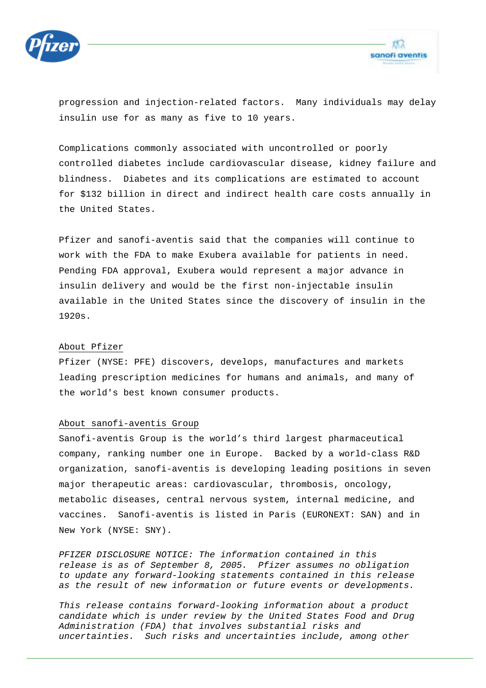



progression and injection-related factors. Many individuals may delay insulin use for as many as five to 10 years.

Complications commonly associated with uncontrolled or poorly controlled diabetes include cardiovascular disease, kidney failure and blindness. Diabetes and its complications are estimated to account for \$132 billion in direct and indirect health care costs annually in the United States.

Pfizer and sanofi-aventis said that the companies will continue to work with the FDA to make Exubera available for patients in need. Pending FDA approval, Exubera would represent a major advance in insulin delivery and would be the first non-injectable insulin available in the United States since the discovery of insulin in the 1920s.

## About Pfizer

Pfizer (NYSE: PFE) discovers, develops, manufactures and markets leading prescription medicines for humans and animals, and many of the world's best known consumer products.

## About sanofi-aventis Group

Sanofi-aventis Group is the world's third largest pharmaceutical company, ranking number one in Europe. Backed by a world-class R&D organization, sanofi-aventis is developing leading positions in seven major therapeutic areas: cardiovascular, thrombosis, oncology, metabolic diseases, central nervous system, internal medicine, and vaccines. Sanofi-aventis is listed in Paris (EURONEXT: SAN) and in New York (NYSE: SNY).

*PFIZER DISCLOSURE NOTICE: The information contained in this release is as of September 8, 2005. Pfizer assumes no obligation to update any forward-looking statements contained in this release as the result of new information or future events or developments.* 

*This release contains forward-looking information about a product candidate which is under review by the United States Food and Drug Administration (FDA) that involves substantial risks and uncertainties. Such risks and uncertainties include, among other*